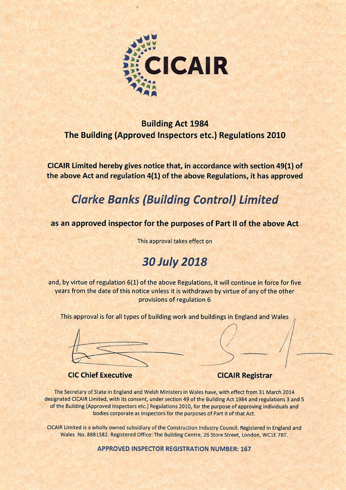

### **Building Act 1984** The Building (Approved Inspectors etc.) Regulations 2010

CICAIR Limited hereby gives notice that, in accordance with section 49(1) of the above Act and regulation 4(1) of the above Regulations, it has approved

### **Clarke Banks (Building Control) Limited**

#### as an approved inspector for the purposes of Part II of the above Act

This approval takes effect on

### **30 July 2018**

and, by virtue of regulation 6(1) of the above Regulations, it will continue in force for five years from the date of this notice unless it is withdrawn by virtue of any of the other provisions of regulation 6

This approval is for all types of building work and buildings in England and Wales

**CIC Chief Executive** 

#### **CICAIR Registrar**

The Secretary of State in England and Welsh Ministers in Wales have, with effect from 31 March 2014 designated CICAIR Limited, with its consent, under section 49 of the Building Act 1984 and regulations 3 and 5 of the Building (Approved Inspectors etc.) Regulations 2010, for the purpose of approving individuals and bodies corporate as inspectors for the purposes of Part II of that Act.

CICAIR Limited is a wholly owned subsidiary of the Construction Industry Council. Registered in England and Wales No. 8881582. Registered Office: The Building Centre, 26 Store Street, London, WC1E 7BT.

**APPROVED INSPECTOR REGISTRATION NUMBER: 167**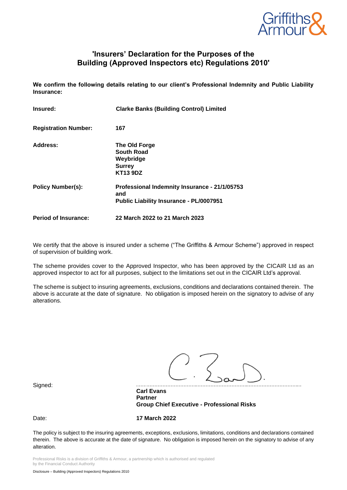

#### **'Insurers' Declaration for the Purposes of the Building (Approved Inspectors etc) Regulations 2010'**

**We confirm the following details relating to our client's Professional Indemnity and Public Liability Insurance:**

| Insured:                    | <b>Clarke Banks (Building Control) Limited</b>                                                         |
|-----------------------------|--------------------------------------------------------------------------------------------------------|
| <b>Registration Number:</b> | 167                                                                                                    |
| Address:                    | The Old Forge<br>South Road<br>Weybridge<br><b>Surrey</b><br><b>KT13 9DZ</b>                           |
| <b>Policy Number(s):</b>    | Professional Indemnity Insurance - 21/1/05753<br>and<br><b>Public Liability Insurance - PL/0007951</b> |
| <b>Period of Insurance:</b> | 22 March 2022 to 21 March 2023                                                                         |

We certify that the above is insured under a scheme ("The Griffiths & Armour Scheme") approved in respect of supervision of building work.

The scheme provides cover to the Approved Inspector, who has been approved by the CICAIR Ltd as an approved inspector to act for all purposes, subject to the limitations set out in the CICAIR Ltd's approval.

The scheme is subject to insuring agreements, exclusions, conditions and declarations contained therein. The above is accurate at the date of signature. No obligation is imposed herein on the signatory to advise of any alterations.

Signed:

**Carl Evans Partner Group Chief Executive - Professional Risks**

Date: **17 March 2022**

The policy is subject to the insuring agreements, exceptions, exclusions, limitations, conditions and declarations contained therein. The above is accurate at the date of signature. No obligation is imposed herein on the signatory to advise of any alteration.

Professional Risks is a division of Griffiths & Armour, a partnership which is authorised and regulated by the Financial Conduct Authority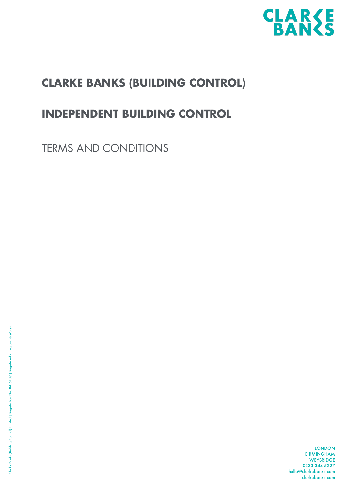

### **CLARKE BANKS (BUILDING CONTROL)**

### **INDEPENDENT BUILDING CONTROL**

TERMS AND CONDITIONS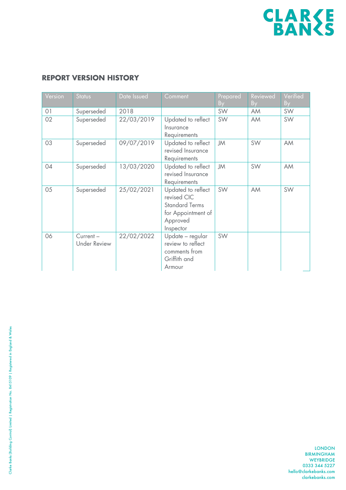

#### **REPORT VERSION HISTORY**

| Version        | <b>Status</b>                   | Date Issued | Comment                                                                                                   | Prepared<br>By | Reviewed<br>By | Verified<br>By |
|----------------|---------------------------------|-------------|-----------------------------------------------------------------------------------------------------------|----------------|----------------|----------------|
| O <sub>1</sub> | Superseded                      | 2018        |                                                                                                           | SW             | AM             | SW             |
| 02             | Superseded                      | 22/03/2019  | Updated to reflect<br>Insurance<br>Requirements                                                           | SW             | AM             | SW             |
| 03             | Superseded                      | 09/07/2019  | Updated to reflect<br>revised Insurance<br>Requirements                                                   | <b>JM</b>      | SW             | AM             |
| 04             | Superseded                      | 13/03/2020  | Updated to reflect<br>revised Insurance<br>Requirements                                                   | JM             | SW             | AM             |
| 05             | Superseded                      | 25/02/2021  | Updated to reflect<br>revised CIC<br><b>Standard Terms</b><br>for Appointment of<br>Approved<br>Inspector | SW             | AM             | SW             |
| 06             | Current-<br><b>Under Review</b> | 22/02/2022  | Update - regular<br>review to reflect<br>comments from<br>Griffith and<br>Armour                          | SW             |                |                |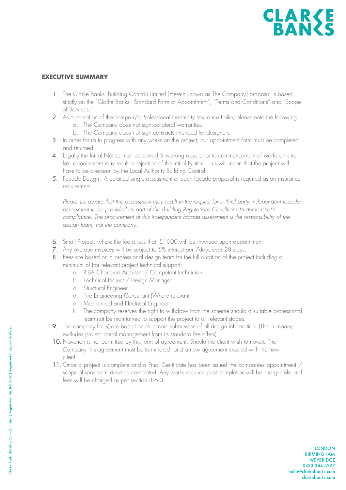#### **EXECUTIVE SUMMARY**

- 1. The Clarke Banks (Building Control) Limited [Herein known as The Company] proposal is based strictly on the "Clarke Banks - Standard Form of Appointment", "Terms and Conditions" and "Scope of Services."
- 2. As a condition of the company's Professional Indemnity Insurance Policy please note the following:
	- a. The Company does not sign collateral warranties.
	- b. The Company does not sign contracts intended for designers.
- 3. In order for us to progress with any works on the project, our appointment form must be completed and returned.
- 4. Legally the Initial Notice must be served 5 working days prior to commencement of works on site, late appointment may result in rejection of the Initial Notice. This will mean that the project will have to be overseen by the Local Authority Building Control.
- 5. Facade Design A detailed single assessment of each facade proposal is required as an insurance requirement.

*Please be aware that this assessment may result in the request for a third party independent facade assessment to be provided as part of the Building Regulations Conditions to demonstrate compliance. The procurement of this independent facade assessment is the responsibility of the design team, not the company.* 

- 6. Small Projects where the fee is less than £1000 will be invoiced upon appointment
- 7. Any overdue invoices will be subject to 5% interest per 7days over 28 days.
- 8. Fees are based on a professional design team for the full duration of the project including a minimum of (for relevant project technical support)
	- a. RIBA Chartered Architect / Competent technician
	- b. Technical Project / Design Manager
	- c. Structural Engineer
	- d. Fire Engineering Consultant (Where relevant)
	- e. Mechanical and Electrical Engineer
	- f. The company reserves the right to withdraw from the scheme should a suitable professional team not be maintained to support the project to all relevant stages.
- 9. The company fee(s) are based on electronic submission of all design information. (The company excludes project portal management from its standard fee offers).
- 10. Novation is not permitted by this form of agreement. Should the client wish to novate The Company this agreement must be terminated, and a new agreement created with the new client.
- 11. Once a project is complete and a Final Certificate has been issued the companies appointment / scope of services is deemed completed. Any works required post completion will be chargeable and fees will be charged as per section 3.6.3.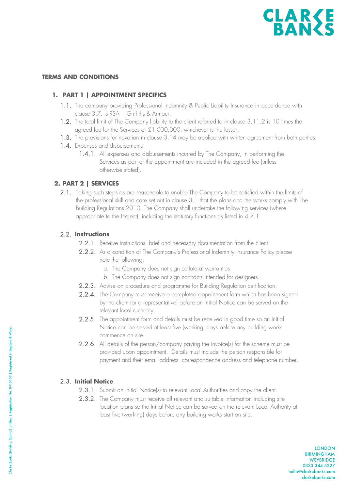

#### **TERMS AND CONDITIONS**

#### **1. PART 1 | APPOINTMENT SPECIFICS**

- 1.1. The company providing Professional Indemnity & Public Liability Insurance in accordance with clause 3.7. is RSA + Griffiths & Armour.
- 1.2. The total limit of The Company liability to the client referred to in clause 3.11.2 is 10 times the agreed fee for the Services or £1,000,000, whichever is the lesser.
- 1.3. The provisions for novation in clause 3.14 may be applied with written agreement from both parties.
- 1.4. Expenses and disbursements
	- 1.4.1. All expenses and disbursements incurred by The Company, in performing the Services as part of the appointment are included in the agreed fee (unless otherwise stated).

#### **2. PART 2 | SERVICES**

2.1. Taking such steps as are reasonable to enable The Company to be satisfied within the limits of the professional skill and care set out in clause 3.1 that the plans and the works comply with The Building Regulations 2010, The Company shall undertake the following services (where appropriate to the Project), including the statutory functions as listed in 4.7.1.

#### 2.2. **Instructions**

- 2.2.1. Receive instructions, brief and necessary documentation from the client.
- 2.2.2. As a condition of The Company's Professional Indemnity Insurance Policy please note the following:
	- a. The Company does not sign collateral warranties
	- b. The Company does not sign contracts intended for designers.
- 2.2.3. Advise on procedure and programme for Building Regulation certification.
- 2.2.4. The Company must receive a completed appointment form which has been signed by the client (or a representative) before an Initial Notice can be served on the relevant local authority.
- 2.2.5. The appointment form and details must be received in good time so an Initial Notice can be served at least five (working) days before any building works commence on site.
- 2.2.6. All details of the person/company paying the invoice(s) for the scheme must be provided upon appointment. Details must include the person responsible for payment and their email address, correspondence address and telephone number.

#### 2.3. **Initial Notice**

- 2.3.1. Submit an Initial Notice(s) to relevant Local Authorities and copy the client.
- 2.3.2. The Company must receive all relevant and suitable information including site location plans so the Initial Notice can be served on the relevant Local Authority at least five (working) days before any building works start on site.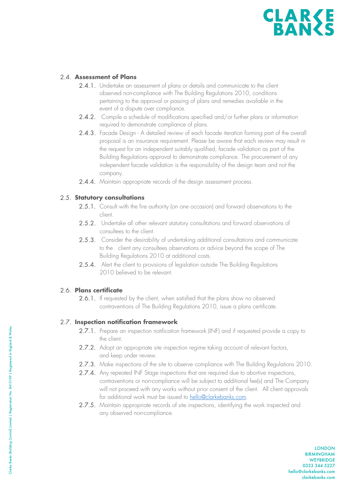#### 2.4. **Assessment of Plans**

- 2.4.1. Undertake an assessment of plans or details and communicate to the client observed non-compliance with The Building Regulations 2010, conditions pertaining to the approval or passing of plans and remedies available in the event of a dispute over compliance.
- 2.4.2. Compile a schedule of modifications specified and/or further plans or information required to demonstrate compliance of plans.
- 2.4.3. Facade Design A detailed review of each facade iteration forming part of the overall proposal is an insurance requirement. Please be aware that each review may result in the request for an independent suitably qualified, facade validation as part of the Building Regulations approval to demonstrate compliance. The procurement of any independent facade validation is the responsibility of the design team and not the company.
- 2.4.4. Maintain appropriate records of the design assessment process.

#### 2.5. **Statutory consultations**

- 2.5.1. Consult with the fire authority (on one occasion) and forward observations to the client.
- 2.5.2. Undertake all other relevant statutory consultations and forward observations of consultees to the client.
- 2.5.3. Consider the desirability of undertaking additional consultations and communicate to the client any consultees observations or advice beyond the scope of The Building Regulations 2010 at additional costs.
- 2.5.4. Alert the client to provisions of legislation outside The Building Regulations 2010 believed to be relevant.

#### 2.6. **Plans certificate**

2.6.1. If requested by the client, when satisfied that the plans show no observed contraventions of The Building Regulations 2010, issue a plans certificate.

#### 2.7. **Inspection notification framework**

- 2.7.1. Prepare an inspection notification framework (INF) and if requested provide a copy to the client.
- 2.7.2. Adopt an appropriate site inspection regime taking account of relevant factors, and keep under review.
- 2.7.3. Make inspections of the site to observe compliance with The Building Regulations 2010.
- 2.7.4. Any repeated INF Stage inspections that are required due to abortive inspections, contraventions or non-compliance will be subject to additional fee(s) and The Company will not proceed with any works without prior consent of the client. All client approvals for additional work must be issued to hello@clarkebanks.com.
- 2.7.5. Maintain appropriate records of site inspections, identifying the work inspected and any observed non-compliance.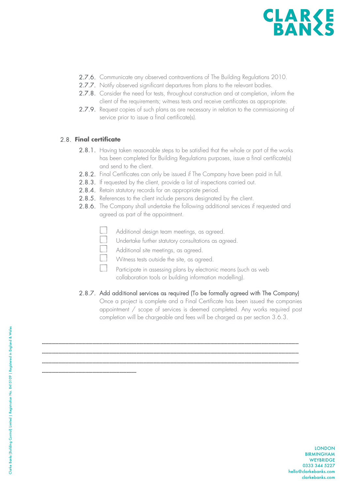

- 2.7.6. Communicate any observed contraventions of The Building Regulations 2010.
- 2.7.7. Notify observed significant departures from plans to the relevant bodies.
- 2.7.8. Consider the need for tests, throughout construction and at completion, inform the client of the requirements; witness tests and receive certificates as appropriate.
- 2.7.9. Request copies of such plans as are necessary in relation to the commissioning of service prior to issue a final certificate(s).

#### 2.8. **Final certificate**

…………………………………………………………………………

- 2.8.1. Having taken reasonable steps to be satisfied that the whole or part of the works has been completed for Building Regulations purposes, issue a final certificate(s) and send to the client.
- 2.8.2. Final Certificates can only be issued if The Company have been paid in full.
- 2.8.3. If requested by the client, provide a list of inspections carried out.
- 2.8.4. Retain statutory records for an appropriate period.
- 2.8.5. References to the client include persons designated by the client.
- 2.8.6. The Company shall undertake the following additional services if requested and agreed as part of the appointment.
	- Additional design team meetings, as agreed.
	- Undertake further statutory consultations as agreed.

………………………………………………………………………………………………………………………………………………………………………………………………………… ………………………………………………………………………………………………………………………………………………………………………………………………………… …………………………………………………………………………………………………………………………………………………………………………………………………………

- Additional site meetings, as agreed.
- Witness tests outside the site, as agreed.
- Participate in assessing plans by electronic means (such as web collaboration tools or building information modelling).

#### 2.8.7. Add additional services as required (To be formally agreed with The Company)

Once a project is complete and a Final Certificate has been issued the companies appointment / scope of services is deemed completed. Any works required post completion will be chargeable and fees will be charged as per section 3.6.3.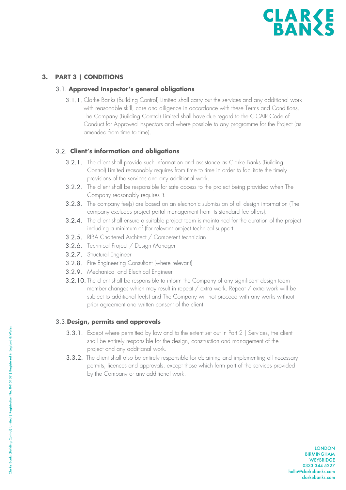

#### **3. PART 3 | CONDITIONS**

#### 3.1. **Approved Inspector's general obligations**

3.1.1. Clarke Banks (Building Control) Limited shall carry out the services and any additional work with reasonable skill, care and diligence in accordance with these Terms and Conditions. The Company (Building Control) Limited shall have due regard to the CICAIR Code of Conduct for Approved Inspectors and where possible to any programme for the Project (as amended from time to time).

#### 3.2. **Client's information and obligations**

- 3.2.1. The client shall provide such information and assistance as Clarke Banks (Building Control) Limited reasonably requires from time to time in order to facilitate the timely provisions of the services and any additional work.
- 3.2.2. The client shall be responsible for safe access to the project being provided when The Company reasonably requires it.
- 3.2.3. The company fee(s) are based on an electronic submission of all design information (The company excludes project portal management from its standard fee offers).
- 3.2.4. The client shall ensure a suitable project team is maintained for the duration of the project including a minimum of (for relevant project technical support.
- 3.2.5. RIBA Chartered Architect / Competent technician
- 3.2.6. Technical Project / Design Manager
- 3.2.7. Structural Engineer
- 3.2.8. Fire Engineering Consultant (where relevant)
- 3.2.9. Mechanical and Electrical Engineer
- 3.2.10. The client shall be responsible to inform the Company of any significant design team member changes which may result in repeat / extra work. Repeat / extra work will be subject to additional fee(s) and The Company will not proceed with any works without prior agreement and written consent of the client.

#### 3.3.**Design, permits and approvals**

- 3.3.1. Except where permitted by law and to the extent set out in Part 2 | Services, the client shall be entirely responsible for the design, construction and management of the project and any additional work.
- 3.3.2. The client shall also be entirely responsible for obtaining and implementing all necessary permits, licences and approvals, except those which form part of the services provided by the Company or any additional work.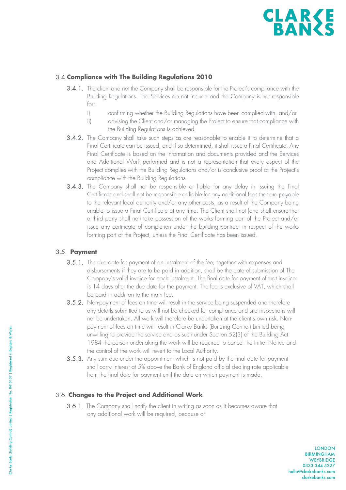

#### 3.4.**Compliance with The Building Regulations 2010**

- 3.4.1. The client and not the Company shall be responsible for the Project's compliance with the Building Regulations. The Services do not include and the Company is not responsible for:
	- i) confirming whether the Building Regulations have been complied with, and/or
	- ii) advising the Client and/or managing the Project to ensure that compliance with the Building Regulations is achieved
- 3.4.2. The Company shall take such steps as are reasonable to enable it to determine that a Final Certificate can be issued, and if so determined, it shall issue a Final Certificate. Any Final Certificate is based on the information and documents provided and the Services and Additional Work performed and is not a representation that every aspect of the Project complies with the Building Regulations and/or is conclusive proof of the Project's compliance with the Building Regulations.
- 3.4.3. The Company shall not be responsible or liable for any delay in issuing the Final Certificate and shall not be responsible or liable for any additional fees that are payable to the relevant local authority and/or any other costs, as a result of the Company being unable to issue a Final Certificate at any time. The Client shall not (and shall ensure that a third party shall not) take possession of the works forming part of the Project and/or issue any certificate of completion under the building contract in respect of the works forming part of the Project, unless the Final Certificate has been issued.

#### 3.5. **Payment**

- 3.5.1. The due date for payment of an instalment of the fee, together with expenses and disbursements if they are to be paid in addition, shall be the date of submission of The Company's valid invoice for each instalment. The final date for payment of that invoice is 14 days after the due date for the payment. The fee is exclusive of VAT, which shall be paid in addition to the main fee.
- 3.5.2. Non-payment of fees on time will result in the service being suspended and therefore any details submitted to us will not be checked for compliance and site inspections will not be undertaken. All work will therefore be undertaken at the client's own risk. Nonpayment of fees on time will result in Clarke Banks (Building Control) Limited being unwilling to provide the service and as such under Section 52(3) of the Building Act 1984 the person undertaking the work will be required to cancel the Initial Notice and the control of the work will revert to the Local Authority.
- 3.5.3. Any sum due under the appointment which is not paid by the final date for payment shall carry interest at 5% above the Bank of England official dealing rate applicable from the final date for payment until the date on which payment is made.

#### 3.6. **Changes to the Project and Additional Work**

3.6.1. The Company shall notify the client in writing as soon as it becomes aware that any additional work will be required, because of: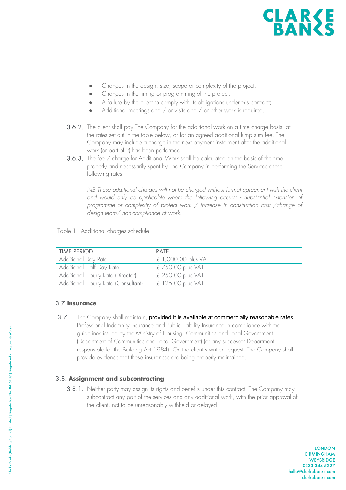- Changes in the design, size, scope or complexity of the project;
- Changes in the timing or programming of the project;
- A failure by the client to comply with its obligations under this contract;
- Additional meetings and  $/$  or visits and  $/$  or other work is required.
- 3.6.2. The client shall pay The Company for the additional work on a time charge basis, at the rates set out in the table below, or for an agreed additional lump sum fee. The Company may include a charge in the next payment instalment after the additional work (or part of it) has been performed.
- 3.6.3. The fee / charge for Additional Work shall be calculated on the basis of the time properly and necessarily spent by The Company in performing the Services at the following rates.

*NB These additional charges will not be charged without formal agreement with the client and would only be applicable where the following occurs: - Substantial extension of programme or complexity of project work / increase in construction cost /change of design team/ non-compliance of work.*

Table 1 - Additional charges schedule

| <b>TIME PERIOD</b>                  | RATE                |
|-------------------------------------|---------------------|
| Additional Day Rate                 | £ 1,000.00 plus VAT |
| Additional Half Day Rate            | £ 750.00 plus VAT   |
| Additional Hourly Rate (Director)   | £ 250.00 plus VAT   |
| Additional Hourly Rate (Consultant) | £ 125.00 plus VAT   |

#### 3.7.**Insurance**

3.7.1. The Company shall maintain, provided it is available at commercially reasonable rates, Professional Indemnity Insurance and Public Liability Insurance in compliance with the guidelines issued by the Ministry of Housing, Communities and Local Government (Department of Communities and Local Government) (or any successor Department responsible for the Building Act 1984). On the client's written request, The Company shall provide evidence that these insurances are being properly maintained.

#### 3.8. **Assignment and subcontracting**

3.8.1. Neither party may assign its rights and benefits under this contract. The Company may subcontract any part of the services and any additional work, with the prior approval of the client, not to be unreasonably withheld or delayed.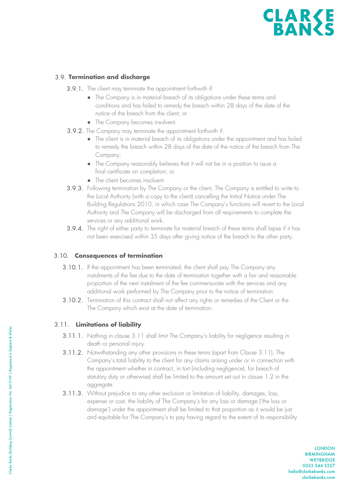#### 3.9. **Termination and discharge**

- 3.9.1. The client may terminate the appointment forthwith if:
	- The Company is in material breach of its obligations under these terms and conditions and has failed to remedy the breach within 28 days of the date of the notice of the breach from the client; or
	- The Company becomes insolvent.
- 3.9.2. The Company may terminate the appointment forthwith if:
	- The client is in material breach of its obligations under the appointment and has failed to remedy the breach within 28 days of the date of the notice of the breach from The Company;
	- The Company reasonably believes that it will not be in a position to issue a final certificate on completion; or
	- The client becomes insolvent.
- 3.9.3. Following termination by The Company or the client, The Company is entitled to write to the Local Authority (with a copy to the client) cancelling the Initial Notice under The Building Regulations 2010, in which case The Company's functions will revert to the Local Authority and The Company will be discharged from all requirements to complete the services or any additional work.
- 3.9.4. The right of either party to terminate for material breach of these terms shall lapse if it has not been exercised within 35 days after giving notice of the breach to the other party.

#### 3.10. **Consequences of termination**

- 3.10.1. If the appointment has been terminated, the client shall pay The Company any instalments of the fee due to the date of termination together with a fair and reasonable proportion of the next instalment of the fee commensurate with the services and any additional work performed by The Company prior to the notice of termination.
- 3.10.2. Termination of this contract shall not affect any rights or remedies of the Client or the The Company which exist at the date of termination.

#### 3.11. **Limitations of liability**

- 3.11.1. Nothing in clause 3.11 shall limit The Company's liability for negligence resulting in death or personal injury.
- 3.11.2. Notwithstanding any other provisions in these terms (apart from Clause 3.11), The Company's total liability to the client for any claims arising under or in connection with the appointment whether in contract, in tort (including negligence), for breach of statutory duty or otherwise) shall be limited to the amount set out in clause 1.2 in the aggregate.
- 3.11.3. Without prejudice to any other exclusion or limitation of liability, damages, loss, expense or cost, the liability of The Company's for any loss or damage ('the loss or damage') under the appointment shall be limited to that proportion as it would be just and equitable for The Company's to pay having regard to the extent of its responsibility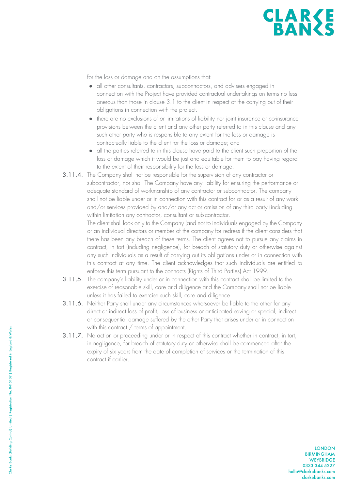for the loss or damage and on the assumptions that:

- all other consultants, contractors, subcontractors, and advisers engaged in connection with the Project have provided contractual undertakings on terms no less onerous than those in clause 3.1 to the client in respect of the carrying out of their obligations in connection with the project.
- there are no exclusions of or limitations of liability nor joint insurance or co-insurance provisions between the client and any other party referred to in this clause and any such other party who is responsible to any extent for the loss or damage is contractually liable to the client for the loss or damage; and
- all the parties referred to in this clause have paid to the client such proportion of the loss or damage which it would be just and equitable for them to pay having regard to the extent of their responsibility for the loss or damage.
- 3.11.4. The Company shall not be responsible for the supervision of any contractor or subcontractor, nor shall The Company have any liability for ensuring the performance or adequate standard of workmanship of any contractor or subcontractor. The company shall not be liable under or in connection with this contract for or as a result of any work and/or services provided by and/or any act or omission of any third party (including within limitation any contractor, consultant or sub-contractor.

The client shall look only to the Company (and not to individuals engaged by the Company or an individual directors or member of the company for redress if the client considers that there has been any breach of these terms. The client agrees not to pursue any claims in contract, in tort (including negligence), for breach of statutory duty or otherwise against any such individuals as a result of carrying out its obligations under or in connection with this contract at any time. The client acknowledges that such individuals are entitled to enforce this term pursuant to the contracts (Rights of Third Parties) Act 1999.

- 3.11.5. The company's liability under or in connection with this contract shall be limited to the exercise of reasonable skill, care and diligence and the Company shall not be liable unless it has failed to exercise such skill, care and diligence.
- 3.11.6. Neither Party shall under any circumstances whatsoever be liable to the other for any direct or indirect loss of profit, loss of business or anticipated saving or special, indirect or consequential damage suffered by the other Party that arises under or in connection with this contract / terms of appointment.
- 3.11.7. No action or proceeding under or in respect of this contract whether in contract, in tort, in negligence, for breach of statutory duty or otherwise shall be commenced after the expiry of six years from the date of completion of services or the termination of this contract if earlier.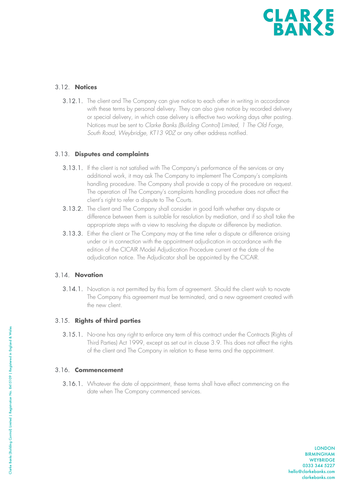

#### 3.12. **Notices**

3.12.1. The client and The Company can give notice to each other in writing in accordance with these terms by personal delivery. They can also give notice by recorded delivery or special delivery, in which case delivery is effective two working days after posting. Notices must be sent to *Clarke Banks (Building Control) Limited, 1 The Old Forge, South Road, Weybridge, KT13 9DZ* or any other address notified.

#### 3.13. **Disputes and complaints**

- 3.13.1. If the client is not satisfied with The Company's performance of the services or any additional work, it may ask The Company to implement The Company's complaints handling procedure. The Company shall provide a copy of the procedure on request. The operation of The Company's complaints handling procedure does not affect the client's right to refer a dispute to The Courts.
- 3.13.2. The client and The Company shall consider in good faith whether any dispute or difference between them is suitable for resolution by mediation, and if so shall take the appropriate steps with a view to resolving the dispute or difference by mediation.
- 3.13.3. Either the client or The Company may at the time refer a dispute or difference arising under or in connection with the appointment adjudication in accordance with the edition of the CICAIR Model Adjudication Procedure current at the date of the adjudication notice. The Adjudicator shall be appointed by the CICAIR.

#### 3.14. **Novation**

3.14.1. Novation is not permitted by this form of agreement. Should the client wish to novate The Company this agreement must be terminated, and a new agreement created with the new client.

#### 3.15. **Rights of third parties**

3.15.1. No-one has any right to enforce any term of this contract under the Contracts (Rights of Third Parties) Act 1999, except as set out in clause 3.9. This does not affect the rights of the client and The Company in relation to these terms and the appointment.

#### 3.16. **Commencement**

3.16.1. Whatever the date of appointment, these terms shall have effect commencing on the date when The Company commenced services.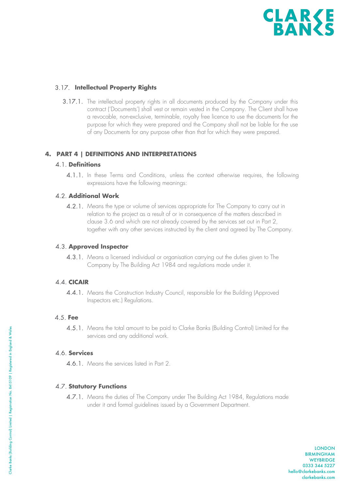

#### 3.17. **Intellectual Property Rights**

3.17.1. The intellectual property rights in all documents produced by the Company under this contract ('Documents') shall vest or remain vested in the Company. The Client shall have a revocable, non-exclusive, terminable, royalty free licence to use the documents for the purpose for which they were prepared and the Company shall not be liable for the use of any Documents for any purpose other than that for which they were prepared.

#### **4. PART 4 | DEFINITIONS AND INTERPRETATIONS**

#### 4.1. **Definitions**

4.1.1. In these Terms and Conditions, unless the context otherwise requires, the following expressions have the following meanings:

#### 4.2. **Additional Work**

4.2.1. Means the type or volume of services appropriate for The Company to carry out in relation to the project as a result of or in consequence of the matters described in clause 3.6 and which are not already covered by the services set out in Part 2, together with any other services instructed by the client and agreed by The Company.

#### 4.3. **Approved Inspector**

4.3.1. Means a licensed individual or organisation carrying out the duties given to The Company by The Building Act 1984 and regulations made under it.

#### 4.4. **CICAIR**

4.4.1. Means the Construction Industry Council, responsible for the Building (Approved Inspectors etc.) Regulations.

#### 4.5. **Fee**

4.5.1. Means the total amount to be paid to Clarke Banks (Building Control) Limited for the services and any additional work.

#### 4.6. **Services**

4.6.1. Means the services listed in Part 2.

#### 4.7. **Statutory Functions**

4.7.1. Means the duties of The Company under The Building Act 1984, Regulations made under it and formal guidelines issued by a Government Department.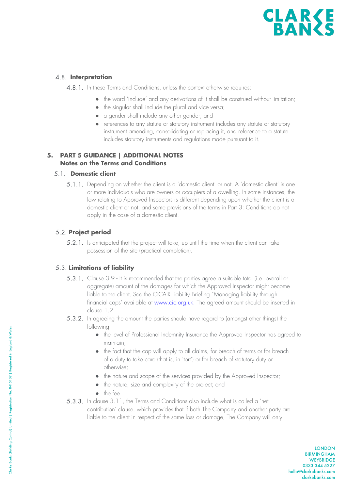#### 4.8. **Interpretation**

4.8.1. In these Terms and Conditions, unless the context otherwise requires:

- the word 'include' and any derivations of it shall be construed without limitation;
- the singular shall include the plural and vice versa;
- a gender shall include any other gender; and
- references to any statute or statutory instrument includes any statute or statutory instrument amending, consolidating or replacing it, and reference to a statute includes statutory instruments and regulations made pursuant to it.

#### **5. PART 5 GUIDANCE | ADDITIONAL NOTES Notes on the Terms and Conditions**

#### 5.1. **Domestic client**

5.1.1. Depending on whether the client is a 'domestic client' or not. A 'domestic client' is one or more individuals who are owners or occupiers of a dwelling. In some instances, the law relating to Approved Inspectors is different depending upon whether the client is a domestic client or not, and some provisions of the terms in Part 3: Conditions do not apply in the case of a domestic client.

#### 5.2. **Project period**

5.2.1. Is anticipated that the project will take, up until the time when the client can take possession of the site (practical completion).

#### 5.3. **Limitations of liability**

- 5.3.1. Clause 3.9 It is recommended that the parties agree a suitable total (i.e. overall or aggregate) amount of the damages for which the Approved Inspector might become liable to the client. See the CICAIR Liability Briefing "Managing liability through financial caps' available at www.cic.org.uk. The agreed amount should be inserted in clause 1.2.
- 5.3.2. In agreeing the amount the parties should have regard to (amongst other things) the following:
	- **●** the level of Professional Indemnity Insurance the Approved Inspector has agreed to maintain;
	- **●** the fact that the cap will apply to all claims, for breach of terms or for breach of a duty to take care (that is, in 'tort') or for breach of statutory duty or otherwise;
	- **●** the nature and scope of the services provided by the Approved Inspector;
	- **●** the nature, size and complexity of the project; and
	- **●** the fee
- 5.3.3. In clause 3.11, the Terms and Conditions also include what is called a 'net contribution' clause, which provides that if both The Company and another party are liable to the client in respect of the same loss or damage, The Company will only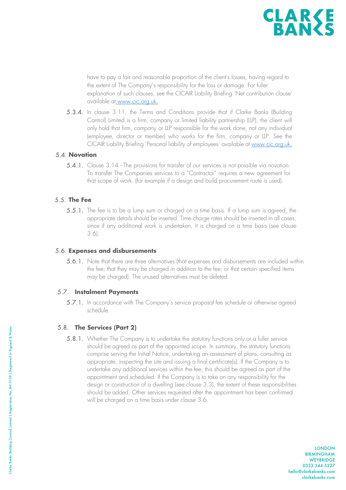

have to pay a fair and reasonable proportion of the client's losses, having regard to the extent of The Company's responsibility for the loss or damage. For fuller explanation of such clauses, see the CICAIR Liability Briefing 'Net contribution clause' available at www.cic.org.uk.

5.3.4. In clause 3.11, the Terms and Conditions provide that if Clarke Banks (Building Control) Limited is a firm, company or limited liability partnership (LLP), the client will only hold that firm, company or LLP responsible for the work done, not any individual (employee, director or member) who works for the firm, company or LLP. See the CICAIR Liability Briefing 'Personal liability of employees' available at www.cic.org.uk.

#### 5.4. **Novation**

5.4.1. Clause 3.14 - The provisions for transfer of our services is not possible via novation. To transfer The Companies services to a "Contractor" requires a new agreement for that scope of work. (for example if a design and build procurement route is used).

#### 5.5. **The Fee**

5.5.1. The fee is to be a lump sum or charged on a time basis. If a lump sum is agreed, the appropriate details should be inserted. Time charge rates should be inserted in all cases, since if any additional work is undertaken, it is charged on a time basis (see clause 3.6).

#### 5.6. **Expenses and disbursements**

5.6.1. Note that there are three alternatives (that expenses and disbursements are included within the fee; that they may be charged in addition to the fee; or that certain specified items may be charged). The unused alternatives must be deleted.

#### 5.7. **Instalment Payments**

5.7.1. In accordance with The Company's service proposal fee schedule or otherwise agreed schedule.

#### 5.8. **The Services (Part 2)**

5.8.1. Whether The Company is to undertake the statutory functions only or a fuller service should be agreed as part of the appointed scope. In summary, the statutory functions comprise serving the Initial Notice, undertaking an assessment of plans, consulting as appropriate, inspecting the site and issuing a final certificate(s). If the Company is to undertake any additional services within the fee, this should be agreed as part of the appointment and scheduled. If the Company is to take on any responsibility for the design or construction of a dwelling (see clause 3.3), the extent of these responsibilities should be added. Other services requested after the appointment has been confirmed will be charged on a time basis under clause 3.6.